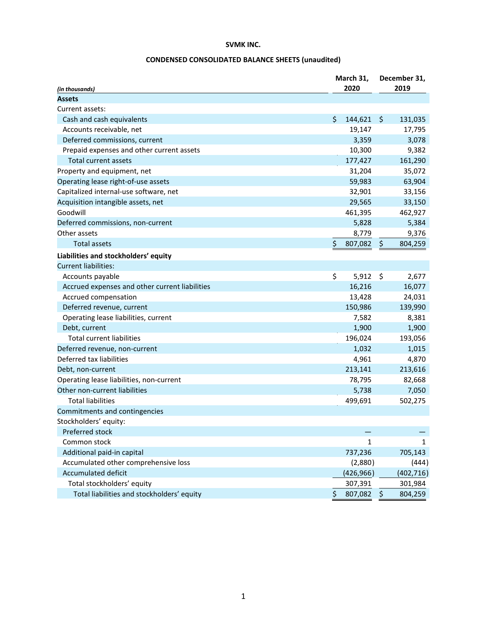# **CONDENSED CONSOLIDATED BALANCE SHEETS (unaudited)**

| (in thousands)                                 | March 31,<br>2020 |               | December 31,<br>2019 |  |
|------------------------------------------------|-------------------|---------------|----------------------|--|
| <b>Assets</b>                                  |                   |               |                      |  |
| Current assets:                                |                   |               |                      |  |
| Cash and cash equivalents                      | \$<br>144,621     | $\varsigma$   | 131,035              |  |
| Accounts receivable, net                       | 19,147            |               | 17,795               |  |
| Deferred commissions, current                  | 3,359             |               | 3,078                |  |
| Prepaid expenses and other current assets      | 10,300            |               | 9,382                |  |
| Total current assets                           | 177,427           |               | 161,290              |  |
| Property and equipment, net                    | 31,204            |               | 35,072               |  |
| Operating lease right-of-use assets            | 59,983            |               | 63,904               |  |
| Capitalized internal-use software, net         | 32,901            |               | 33,156               |  |
| Acquisition intangible assets, net             | 29,565            |               | 33,150               |  |
| Goodwill                                       | 461,395           |               | 462,927              |  |
| Deferred commissions, non-current              | 5,828             |               | 5,384                |  |
| Other assets                                   | 8,779             |               | 9,376                |  |
| <b>Total assets</b>                            | \$<br>807,082     | \$            | 804,259              |  |
| Liabilities and stockholders' equity           |                   |               |                      |  |
| <b>Current liabilities:</b>                    |                   |               |                      |  |
| Accounts payable                               | \$<br>5,912       | \$            | 2,677                |  |
| Accrued expenses and other current liabilities | 16,216            |               | 16,077               |  |
| Accrued compensation                           | 13,428            |               | 24,031               |  |
| Deferred revenue, current                      | 150,986           |               | 139,990              |  |
| Operating lease liabilities, current           | 7,582             |               | 8,381                |  |
| Debt, current                                  | 1,900             |               | 1,900                |  |
| <b>Total current liabilities</b>               | 196,024           |               | 193,056              |  |
| Deferred revenue, non-current                  | 1,032             |               | 1,015                |  |
| Deferred tax liabilities                       | 4,961             |               | 4,870                |  |
| Debt, non-current                              | 213,141           |               | 213,616              |  |
| Operating lease liabilities, non-current       | 78,795            |               | 82,668               |  |
| Other non-current liabilities                  | 5,738             |               | 7,050                |  |
| <b>Total liabilities</b>                       | 499,691           |               | 502,275              |  |
| Commitments and contingencies                  |                   |               |                      |  |
| Stockholders' equity:                          |                   |               |                      |  |
| Preferred stock                                |                   |               |                      |  |
| Common stock                                   | $\mathbf 1$       |               | $\mathbf{1}$         |  |
| Additional paid-in capital                     | 737,236           |               | 705,143              |  |
| Accumulated other comprehensive loss           | (2,880)           |               | (444)                |  |
| <b>Accumulated deficit</b>                     | (426, 966)        |               | (402, 716)           |  |
| Total stockholders' equity                     | 307,391           |               | 301,984              |  |
| Total liabilities and stockholders' equity     | \$<br>807,082     | $\frac{1}{2}$ | 804,259              |  |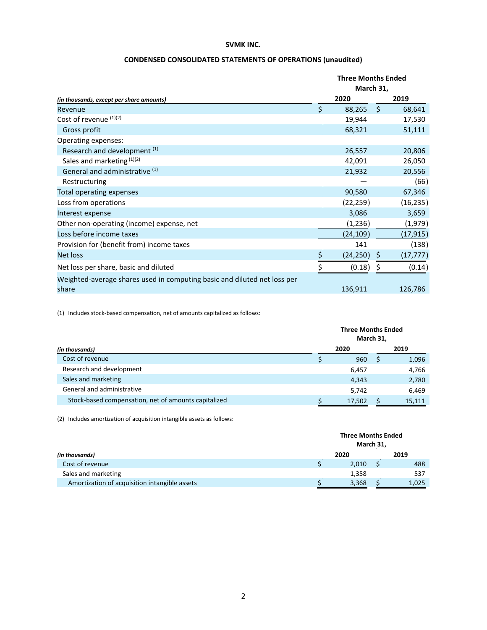### **CONDENSED CONSOLIDATED STATEMENTS OF OPERATIONS (unaudited)**

|                                                                                   | <b>Three Months Ended</b><br>March 31, |                |           |  |
|-----------------------------------------------------------------------------------|----------------------------------------|----------------|-----------|--|
| (in thousands, except per share amounts)                                          |                                        | 2020           | 2019      |  |
| Revenue                                                                           | \$                                     | Ŝ.<br>88,265   | 68,641    |  |
| Cost of revenue (1)(2)                                                            |                                        | 19,944         | 17,530    |  |
| Gross profit                                                                      |                                        | 68,321         | 51,111    |  |
| Operating expenses:                                                               |                                        |                |           |  |
| Research and development (1)                                                      |                                        | 26,557         | 20,806    |  |
| Sales and marketing (1)(2)                                                        |                                        | 42,091         | 26,050    |  |
| General and administrative (1)                                                    |                                        | 21,932         | 20,556    |  |
| Restructuring                                                                     |                                        |                | (66)      |  |
| Total operating expenses                                                          |                                        | 90,580         | 67,346    |  |
| Loss from operations                                                              |                                        | (22, 259)      | (16, 235) |  |
| Interest expense                                                                  |                                        | 3,086          | 3,659     |  |
| Other non-operating (income) expense, net                                         |                                        | (1,236)        | (1,979)   |  |
| Loss before income taxes                                                          |                                        | (24, 109)      | (17, 915) |  |
| Provision for (benefit from) income taxes                                         |                                        | 141            | (138)     |  |
| <b>Net loss</b>                                                                   |                                        | (24, 250)<br>Ş | (17, 777) |  |
| Net loss per share, basic and diluted                                             |                                        | (0.18)         | (0.14)    |  |
| Weighted-average shares used in computing basic and diluted net loss per<br>share |                                        | 136,911        | 126,786   |  |

(1) Includes stock-based compensation, net of amounts capitalized as follows:

|                                                      |  | <b>Three Months Ended</b><br>March 31, |  |        |  |
|------------------------------------------------------|--|----------------------------------------|--|--------|--|
| (in thousands)                                       |  | 2020                                   |  | 2019   |  |
| Cost of revenue                                      |  | 960                                    |  | 1,096  |  |
| Research and development                             |  | 6,457                                  |  | 4,766  |  |
| Sales and marketing                                  |  | 4,343                                  |  | 2,780  |  |
| General and administrative                           |  | 5,742                                  |  | 6,469  |  |
| Stock-based compensation, net of amounts capitalized |  | 17,502                                 |  | 15,111 |  |

(2) Includes amortization of acquisition intangible assets as follows:

|                                               |  | <b>Three Months Ended</b><br>March 31, |  |       |  |
|-----------------------------------------------|--|----------------------------------------|--|-------|--|
| (in thousands)                                |  | 2020                                   |  | 2019  |  |
| Cost of revenue                               |  | 2,010                                  |  | 488   |  |
| Sales and marketing                           |  | 1,358                                  |  | 537   |  |
| Amortization of acquisition intangible assets |  | 3,368                                  |  | 1,025 |  |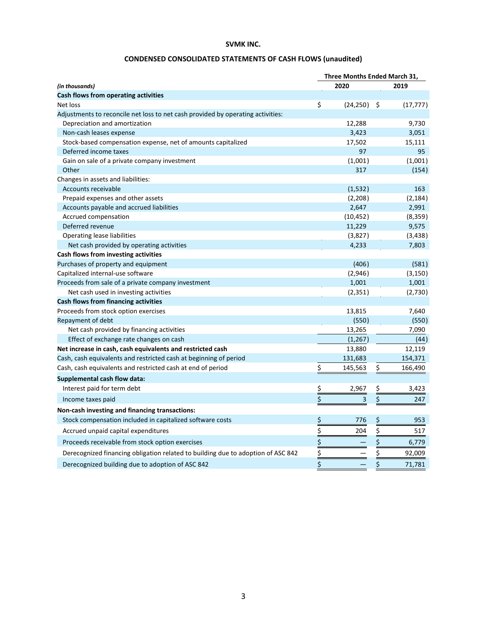# **CONDENSED CONSOLIDATED STATEMENTS OF CASH FLOWS (unaudited)**

|                                                                                  | Three Months Ended March 31, |           |               |           |  |
|----------------------------------------------------------------------------------|------------------------------|-----------|---------------|-----------|--|
| (in thousands)                                                                   |                              | 2020      | 2019          |           |  |
| Cash flows from operating activities                                             |                              |           |               |           |  |
| Net loss                                                                         | \$                           | (24, 250) | \$            | (17, 777) |  |
| Adjustments to reconcile net loss to net cash provided by operating activities:  |                              |           |               |           |  |
| Depreciation and amortization                                                    |                              | 12,288    |               | 9,730     |  |
| Non-cash leases expense                                                          |                              | 3,423     |               | 3,051     |  |
| Stock-based compensation expense, net of amounts capitalized                     |                              | 17,502    |               | 15,111    |  |
| Deferred income taxes                                                            |                              | 97        |               | 95        |  |
| Gain on sale of a private company investment                                     |                              | (1,001)   |               | (1,001)   |  |
| Other                                                                            |                              | 317       |               | (154)     |  |
| Changes in assets and liabilities:                                               |                              |           |               |           |  |
| <b>Accounts receivable</b>                                                       |                              | (1, 532)  |               | 163       |  |
| Prepaid expenses and other assets                                                |                              | (2, 208)  |               | (2, 184)  |  |
| Accounts payable and accrued liabilities                                         |                              | 2,647     |               | 2,991     |  |
| Accrued compensation                                                             |                              | (10, 452) |               | (8, 359)  |  |
| Deferred revenue                                                                 |                              | 11,229    |               | 9,575     |  |
| <b>Operating lease liabilities</b>                                               |                              | (3,827)   |               | (3, 438)  |  |
| Net cash provided by operating activities                                        |                              | 4,233     |               | 7,803     |  |
| Cash flows from investing activities                                             |                              |           |               |           |  |
| Purchases of property and equipment                                              |                              | (406)     |               | (581)     |  |
| Capitalized internal-use software                                                |                              | (2,946)   |               | (3, 150)  |  |
| Proceeds from sale of a private company investment                               |                              | 1,001     |               | 1,001     |  |
| Net cash used in investing activities                                            |                              | (2, 351)  |               | (2,730)   |  |
| Cash flows from financing activities                                             |                              |           |               |           |  |
| Proceeds from stock option exercises                                             |                              | 13,815    |               | 7,640     |  |
| Repayment of debt                                                                |                              | (550)     |               | (550)     |  |
| Net cash provided by financing activities                                        |                              | 13,265    |               | 7,090     |  |
| Effect of exchange rate changes on cash                                          |                              | (1, 267)  |               | (44)      |  |
| Net increase in cash, cash equivalents and restricted cash                       |                              | 13,880    |               | 12,119    |  |
| Cash, cash equivalents and restricted cash at beginning of period                |                              | 131,683   |               | 154,371   |  |
| Cash, cash equivalents and restricted cash at end of period                      | \$                           | 145,563   | \$            | 166,490   |  |
| <b>Supplemental cash flow data:</b>                                              |                              |           |               |           |  |
| Interest paid for term debt                                                      | $\frac{1}{2}$                | 2,967     | \$            | 3,423     |  |
| Income taxes paid                                                                | \$                           | 3         | \$            | 247       |  |
| Non-cash investing and financing transactions:                                   |                              |           |               |           |  |
| Stock compensation included in capitalized software costs                        | \$                           | 776       | \$            | 953       |  |
| Accrued unpaid capital expenditures                                              | \$                           | 204       | \$            | 517       |  |
| Proceeds receivable from stock option exercises                                  | $\frac{1}{2}$                |           | $\frac{1}{2}$ | 6,779     |  |
| Derecognized financing obligation related to building due to adoption of ASC 842 |                              |           | \$            | 92,009    |  |
| Derecognized building due to adoption of ASC 842                                 | $\frac{5}{5}$                |           | \$            | 71,781    |  |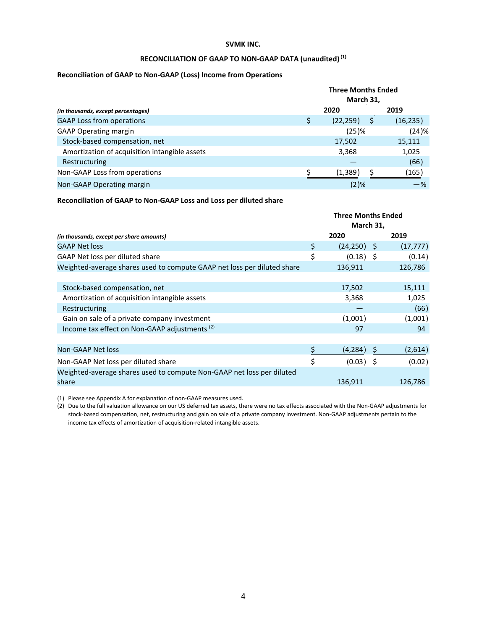## **RECONCILIATION OF GAAP TO NON-GAAP DATA (unaudited)(1)**

### **Reconciliation of GAAP to Non-GAAP (Loss) Income from Operations**

| (in thousands, except percentages)            |  | <b>Three Months Ended</b><br>March 31, |           |  |  |  |
|-----------------------------------------------|--|----------------------------------------|-----------|--|--|--|
|                                               |  | 2020                                   | 2019      |  |  |  |
| <b>GAAP Loss from operations</b>              |  | (22, 259)                              | (16, 235) |  |  |  |
| <b>GAAP Operating margin</b>                  |  | $(25)$ %                               | (24)%     |  |  |  |
| Stock-based compensation, net                 |  | 17,502                                 | 15,111    |  |  |  |
| Amortization of acquisition intangible assets |  | 3,368                                  | 1,025     |  |  |  |
| Restructuring                                 |  |                                        | (66)      |  |  |  |
| Non-GAAP Loss from operations                 |  | (1, 389)                               | (165)     |  |  |  |
| Non-GAAP Operating margin                     |  | (2)%                                   | $-$ %     |  |  |  |

#### **Reconciliation of GAAP to Non-GAAP Loss and Loss per diluted share**

|                                                                         |    | <b>Three Months Ended</b><br>March 31, |      |           |  |
|-------------------------------------------------------------------------|----|----------------------------------------|------|-----------|--|
| (in thousands, except per share amounts)                                |    | 2020                                   |      | 2019      |  |
| <b>GAAP Net loss</b>                                                    | \$ | (24, 250)                              | - S  | (17, 777) |  |
| GAAP Net loss per diluted share                                         | \$ | (0.18)                                 | - \$ | (0.14)    |  |
| Weighted-average shares used to compute GAAP net loss per diluted share |    | 136,911                                |      | 126,786   |  |
|                                                                         |    |                                        |      |           |  |
| Stock-based compensation, net                                           |    | 17,502                                 |      | 15,111    |  |
| Amortization of acquisition intangible assets                           |    | 3,368                                  |      | 1,025     |  |
| Restructuring                                                           |    |                                        |      | (66)      |  |
| Gain on sale of a private company investment                            |    | (1,001)                                |      | (1,001)   |  |
| Income tax effect on Non-GAAP adjustments (2)                           |    | 97                                     |      | 94        |  |
|                                                                         |    |                                        |      |           |  |
| Non-GAAP Net loss                                                       |    | (4, 284)                               |      | (2,614)   |  |
| Non-GAAP Net loss per diluted share                                     | Ś  | (0.03)                                 | S    | (0.02)    |  |
| Weighted-average shares used to compute Non-GAAP net loss per diluted   |    |                                        |      |           |  |
| share                                                                   |    | 136,911                                |      | 126,786   |  |

(1) Please see Appendix A for explanation of non-GAAP measures used.

(2) Due to the full valuation allowance on our US deferred tax assets, there were no tax effects associated with the Non-GAAP adjustments for stock-based compensation, net, restructuring and gain on sale of a private company investment. Non-GAAP adjustments pertain to the income tax effects of amortization of acquisition-related intangible assets.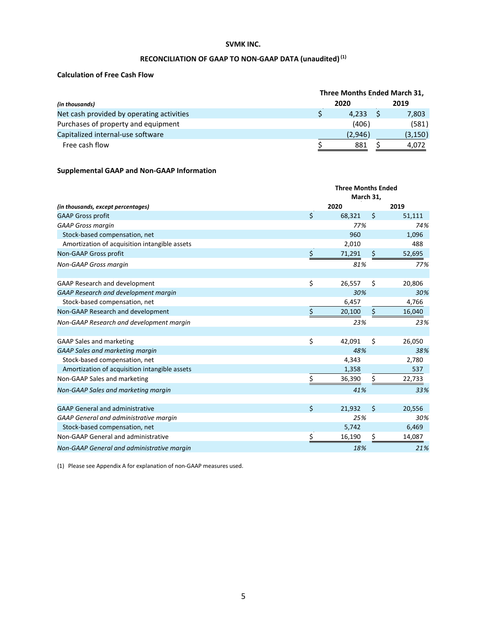# **RECONCILIATION OF GAAP TO NON-GAAP DATA (unaudited)(1)**

## **Calculation of Free Cash Flow**

| Three Months Ended March 31, |         |  |          |  |
|------------------------------|---------|--|----------|--|
|                              | 2020    |  | 2019     |  |
|                              | 4.233   |  | 7,803    |  |
|                              | (406)   |  | (581)    |  |
|                              | (2,946) |  | (3, 150) |  |
|                              | 881     |  | 4.072    |  |
|                              |         |  |          |  |

### **Supplemental GAAP and Non-GAAP Information**

|                                               |    | <b>Three Months Ended</b> |      |        |  |  |
|-----------------------------------------------|----|---------------------------|------|--------|--|--|
| (in thousands, except percentages)            |    | March 31,                 |      |        |  |  |
|                                               |    | 2020                      | 2019 |        |  |  |
| <b>GAAP Gross profit</b>                      | Ś. | 68,321                    | \$   | 51,111 |  |  |
| <b>GAAP Gross margin</b>                      |    | 77%                       |      | 74%    |  |  |
| Stock-based compensation, net                 |    | 960                       |      | 1,096  |  |  |
| Amortization of acquisition intangible assets |    | 2.010                     |      | 488    |  |  |
| Non-GAAP Gross profit                         |    | 71,291                    | Ŝ.   | 52,695 |  |  |
| Non-GAAP Gross margin                         |    | 81%                       |      | 77%    |  |  |
| GAAP Research and development                 | \$ | 26,557                    | Ś    | 20,806 |  |  |
| <b>GAAP Research and development margin</b>   |    | 30%                       |      | 30%    |  |  |
| Stock-based compensation, net                 |    | 6,457                     |      | 4,766  |  |  |
| Non-GAAP Research and development             | Ś  | 20,100                    | Ś    | 16,040 |  |  |
| Non-GAAP Research and development margin      |    | 23%                       |      | 23%    |  |  |
| <b>GAAP Sales and marketing</b>               | \$ | 42,091                    | Ś    | 26,050 |  |  |
| <b>GAAP Sales and marketing margin</b>        |    | 48%                       |      | 38%    |  |  |
| Stock-based compensation, net                 |    | 4,343                     |      | 2,780  |  |  |
| Amortization of acquisition intangible assets |    | 1,358                     |      | 537    |  |  |
| Non-GAAP Sales and marketing                  |    | 36,390                    | \$   | 22,733 |  |  |
| Non-GAAP Sales and marketing margin           |    | 41%                       |      | 33%    |  |  |
| <b>GAAP General and administrative</b>        | Ś. | 21,932                    | Ś    | 20,556 |  |  |
| <b>GAAP General and administrative margin</b> |    | 25%                       |      | 30%    |  |  |
| Stock-based compensation, net                 |    | 5,742                     |      | 6,469  |  |  |
| Non-GAAP General and administrative           | \$ | 16,190                    | \$   | 14,087 |  |  |
| Non-GAAP General and administrative margin    |    | 18%                       |      | 21%    |  |  |

(1) Please see Appendix A for explanation of non-GAAP measures used.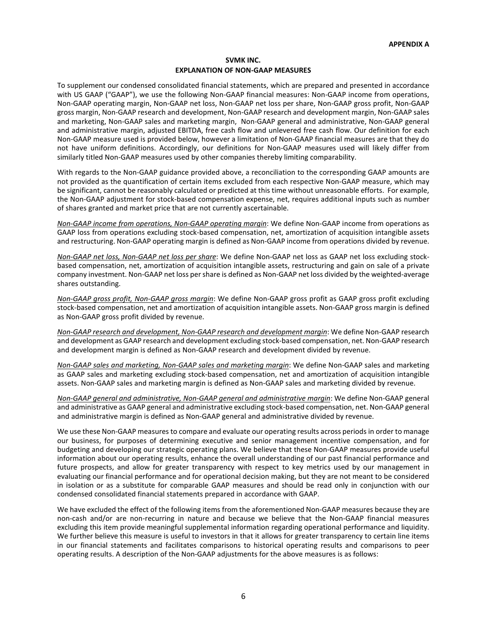#### **SVMK INC. EXPLANATION OF NON-GAAP MEASURES**

To supplement our condensed consolidated financial statements, which are prepared and presented in accordance with US GAAP ("GAAP"), we use the following Non-GAAP financial measures: Non-GAAP income from operations, Non-GAAP operating margin, Non-GAAP net loss, Non-GAAP net loss per share, Non-GAAP gross profit, Non-GAAP gross margin, Non-GAAP research and development, Non-GAAP research and development margin, Non-GAAP sales and marketing, Non-GAAP sales and marketing margin, Non-GAAP general and administrative, Non-GAAP general and administrative margin, adjusted EBITDA, free cash flow and unlevered free cash flow. Our definition for each Non-GAAP measure used is provided below, however a limitation of Non-GAAP financial measures are that they do not have uniform definitions. Accordingly, our definitions for Non-GAAP measures used will likely differ from similarly titled Non-GAAP measures used by other companies thereby limiting comparability.

With regards to the Non-GAAP guidance provided above, a reconciliation to the corresponding GAAP amounts are not provided as the quantification of certain items excluded from each respective Non-GAAP measure, which may be significant, cannot be reasonably calculated or predicted at this time without unreasonable efforts. For example, the Non-GAAP adjustment for stock-based compensation expense, net, requires additional inputs such as number of shares granted and market price that are not currently ascertainable.

*Non-GAAP income from operations, Non-GAAP operating margin*: We define Non-GAAP income from operations as GAAP loss from operations excluding stock-based compensation, net, amortization of acquisition intangible assets and restructuring. Non-GAAP operating margin is defined as Non-GAAP income from operations divided by revenue.

*Non-GAAP net loss, Non-GAAP net loss per share*: We define Non-GAAP net loss as GAAP net loss excluding stockbased compensation, net, amortization of acquisition intangible assets, restructuring and gain on sale of a private company investment. Non-GAAP net loss per share is defined as Non-GAAP net loss divided by the weighted-average shares outstanding.

*Non-GAAP gross profit, Non-GAAP gross margin*: We define Non-GAAP gross profit as GAAP gross profit excluding stock-based compensation, net and amortization of acquisition intangible assets. Non-GAAP gross margin is defined as Non-GAAP gross profit divided by revenue.

*Non-GAAP research and development, Non-GAAP research and development margin*: We define Non-GAAP research and development as GAAP research and development excluding stock-based compensation, net. Non-GAAP research and development margin is defined as Non-GAAP research and development divided by revenue.

*Non-GAAP sales and marketing, Non-GAAP sales and marketing margin*: We define Non-GAAP sales and marketing as GAAP sales and marketing excluding stock-based compensation, net and amortization of acquisition intangible assets. Non-GAAP sales and marketing margin is defined as Non-GAAP sales and marketing divided by revenue.

*Non-GAAP general and administrative, Non-GAAP general and administrative margin*: We define Non-GAAP general and administrative as GAAP general and administrative excluding stock-based compensation, net. Non-GAAP general and administrative margin is defined as Non-GAAP general and administrative divided by revenue.

We use these Non-GAAP measures to compare and evaluate our operating results across periods in order to manage our business, for purposes of determining executive and senior management incentive compensation, and for budgeting and developing our strategic operating plans. We believe that these Non-GAAP measures provide useful information about our operating results, enhance the overall understanding of our past financial performance and future prospects, and allow for greater transparency with respect to key metrics used by our management in evaluating our financial performance and for operational decision making, but they are not meant to be considered in isolation or as a substitute for comparable GAAP measures and should be read only in conjunction with our condensed consolidated financial statements prepared in accordance with GAAP.

We have excluded the effect of the following items from the aforementioned Non-GAAP measures because they are non-cash and/or are non-recurring in nature and because we believe that the Non-GAAP financial measures excluding this item provide meaningful supplemental information regarding operational performance and liquidity. We further believe this measure is useful to investors in that it allows for greater transparency to certain line items in our financial statements and facilitates comparisons to historical operating results and comparisons to peer operating results. A description of the Non-GAAP adjustments for the above measures is as follows: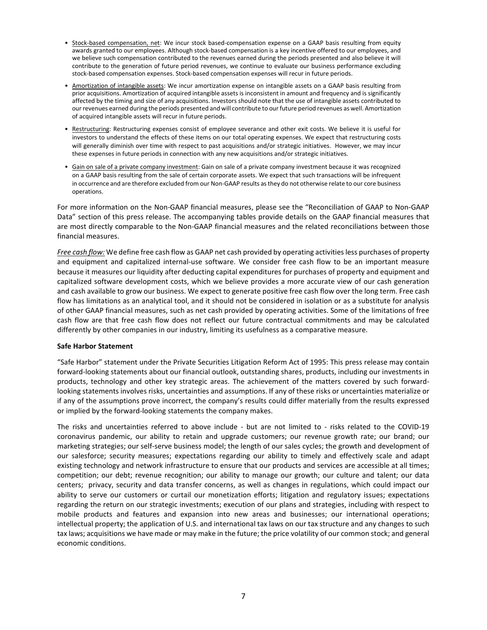- Stock-based compensation, net: We incur stock based-compensation expense on a GAAP basis resulting from equity awards granted to our employees. Although stock-based compensation is a key incentive offered to our employees, and we believe such compensation contributed to the revenues earned during the periods presented and also believe it will contribute to the generation of future period revenues, we continue to evaluate our business performance excluding stock-based compensation expenses. Stock-based compensation expenses will recur in future periods.
- Amortization of intangible assets: We incur amortization expense on intangible assets on a GAAP basis resulting from prior acquisitions. Amortization of acquired intangible assets is inconsistent in amount and frequency and is significantly affected by the timing and size of any acquisitions. Investors should note that the use of intangible assets contributed to our revenues earned during the periods presented and will contribute to our future period revenues as well. Amortization of acquired intangible assets will recur in future periods.
- Restructuring: Restructuring expenses consist of employee severance and other exit costs. We believe it is useful for investors to understand the effects of these items on our total operating expenses. We expect that restructuring costs will generally diminish over time with respect to past acquisitions and/or strategic initiatives. However, we may incur these expenses in future periods in connection with any new acquisitions and/or strategic initiatives.
- Gain on sale of a private company investment: Gain on sale of a private company investment because it was recognized on a GAAP basis resulting from the sale of certain corporate assets. We expect that such transactions will be infrequent in occurrence and are therefore excluded from our Non-GAAP results as they do not otherwise relate to our core business operations.

For more information on the Non-GAAP financial measures, please see the "Reconciliation of GAAP to Non-GAAP Data" section of this press release. The accompanying tables provide details on the GAAP financial measures that are most directly comparable to the Non-GAAP financial measures and the related reconciliations between those financial measures.

*Free cash flow:* We define free cash flow as GAAP net cash provided by operating activities less purchases of property and equipment and capitalized internal-use software. We consider free cash flow to be an important measure because it measures our liquidity after deducting capital expenditures for purchases of property and equipment and capitalized software development costs, which we believe provides a more accurate view of our cash generation and cash available to grow our business. We expect to generate positive free cash flow over the long term. Free cash flow has limitations as an analytical tool, and it should not be considered in isolation or as a substitute for analysis of other GAAP financial measures, such as net cash provided by operating activities. Some of the limitations of free cash flow are that free cash flow does not reflect our future contractual commitments and may be calculated differently by other companies in our industry, limiting its usefulness as a comparative measure.

#### **Safe Harbor Statement**

"Safe Harbor" statement under the Private Securities Litigation Reform Act of 1995: This press release may contain forward-looking statements about our financial outlook, outstanding shares, products, including our investments in products, technology and other key strategic areas. The achievement of the matters covered by such forwardlooking statements involves risks, uncertainties and assumptions. If any of these risks or uncertainties materialize or if any of the assumptions prove incorrect, the company's results could differ materially from the results expressed or implied by the forward-looking statements the company makes.

The risks and uncertainties referred to above include - but are not limited to - risks related to the COVID-19 coronavirus pandemic, our ability to retain and upgrade customers; our revenue growth rate; our brand; our marketing strategies; our self-serve business model; the length of our sales cycles; the growth and development of our salesforce; security measures; expectations regarding our ability to timely and effectively scale and adapt existing technology and network infrastructure to ensure that our products and services are accessible at all times; competition; our debt; revenue recognition; our ability to manage our growth; our culture and talent; our data centers; privacy, security and data transfer concerns, as well as changes in regulations, which could impact our ability to serve our customers or curtail our monetization efforts; litigation and regulatory issues; expectations regarding the return on our strategic investments; execution of our plans and strategies, including with respect to mobile products and features and expansion into new areas and businesses; our international operations; intellectual property; the application of U.S. and international tax laws on our tax structure and any changes to such tax laws; acquisitions we have made or may make in the future; the price volatility of our common stock; and general economic conditions.